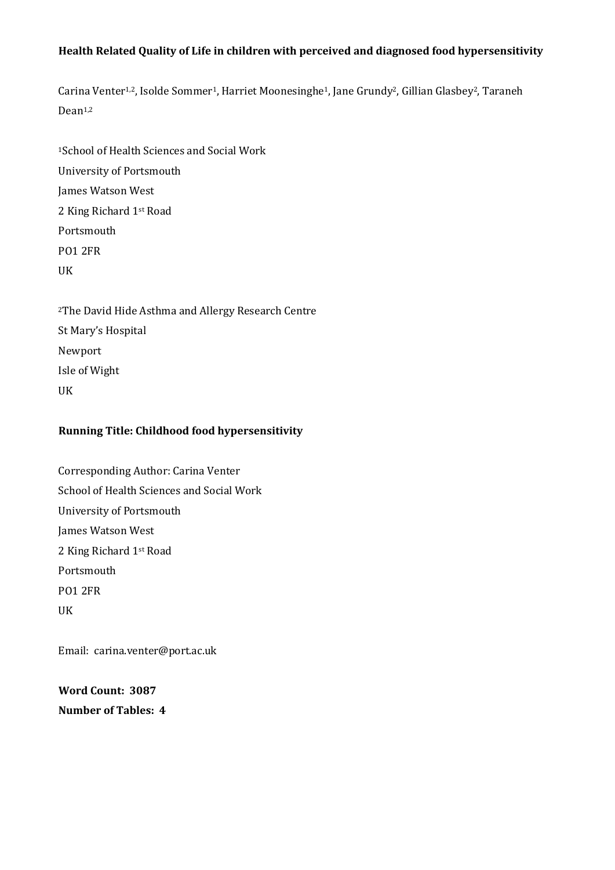# **Health Related Quality of Life in children with perceived and diagnosed food hypersensitivity**

Carina Venter<sup>1,2</sup>, Isolde Sommer<sup>1</sup>, Harriet Moonesinghe<sup>1</sup>, Jane Grundy<sup>2</sup>, Gillian Glasbey<sup>2</sup>, Taraneh Dean1,2

<sup>1</sup>School of Health Sciences and Social Work University of Portsmouth James Watson West 2 King Richard 1st Road Portsmouth PO1 2FR UK

<sup>2</sup>The David Hide Asthma and Allergy Research Centre St Mary's Hospital Newport Isle of Wight UK

# **Running Title: Childhood food hypersensitivity**

Corresponding Author: Carina Venter School of Health Sciences and Social Work University of Portsmouth James Watson West 2 King Richard 1st Road Portsmouth PO1 2FR UK

Email: carina.venter@port.ac.uk

**Word Count: 3087 Number of Tables: 4**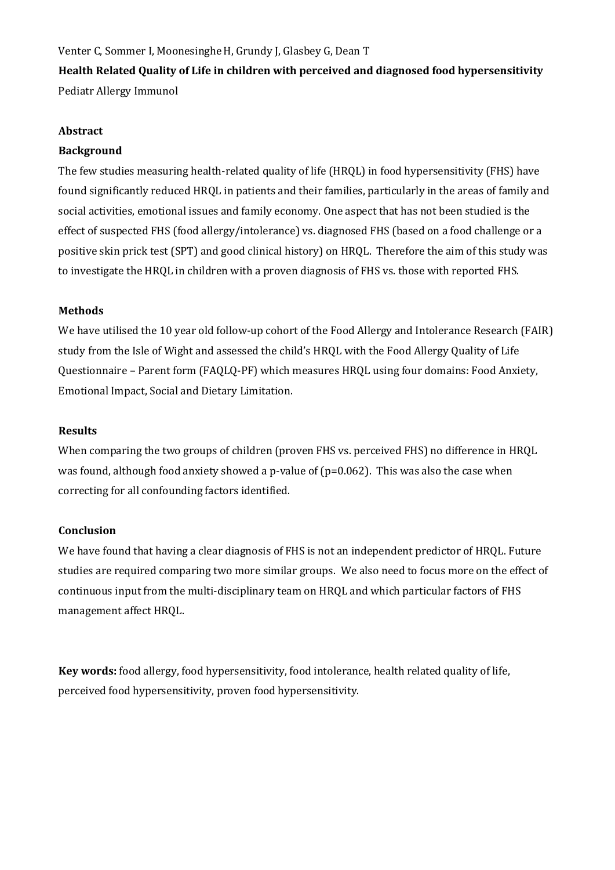Venter C, Sommer I, Moonesinghe H, Grundy J, Glasbey G, Dean T **Health Related Quality of Life in children with perceived and diagnosed food hypersensitivity** Pediatr Allergy Immunol

## **Abstract**

## **Background**

The few studies measuring health-related quality of life (HRQL) in food hypersensitivity (FHS) have found significantly reduced HRQL in patients and their families, particularly in the areas of family and social activities, emotional issues and family economy. One aspect that has not been studied is the effect of suspected FHS (food allergy/intolerance) vs. diagnosed FHS (based on a food challenge or a positive skin prick test (SPT) and good clinical history) on HRQL. Therefore the aim of this study was to investigate the HRQL in children with a proven diagnosis of FHS vs. those with reported FHS.

### **Methods**

We have utilised the 10 year old follow-up cohort of the Food Allergy and Intolerance Research (FAIR) study from the Isle of Wight and assessed the child's HRQL with the Food Allergy Quality of Life Questionnaire – Parent form (FAQLQ-PF) which measures HRQL using four domains: Food Anxiety, Emotional Impact, Social and Dietary Limitation.

#### **Results**

When comparing the two groups of children (proven FHS vs. perceived FHS) no difference in HRQL was found, although food anxiety showed a p-value of  $(p=0.062)$ . This was also the case when correcting for all confounding factors identified.

### **Conclusion**

We have found that having a clear diagnosis of FHS is not an independent predictor of HRQL. Future studies are required comparing two more similar groups. We also need to focus more on the effect of continuous input from the multi-disciplinary team on HRQL and which particular factors of FHS management affect HRQL.

**Key words:** food allergy, food hypersensitivity, food intolerance, health related quality of life, perceived food hypersensitivity, proven food hypersensitivity.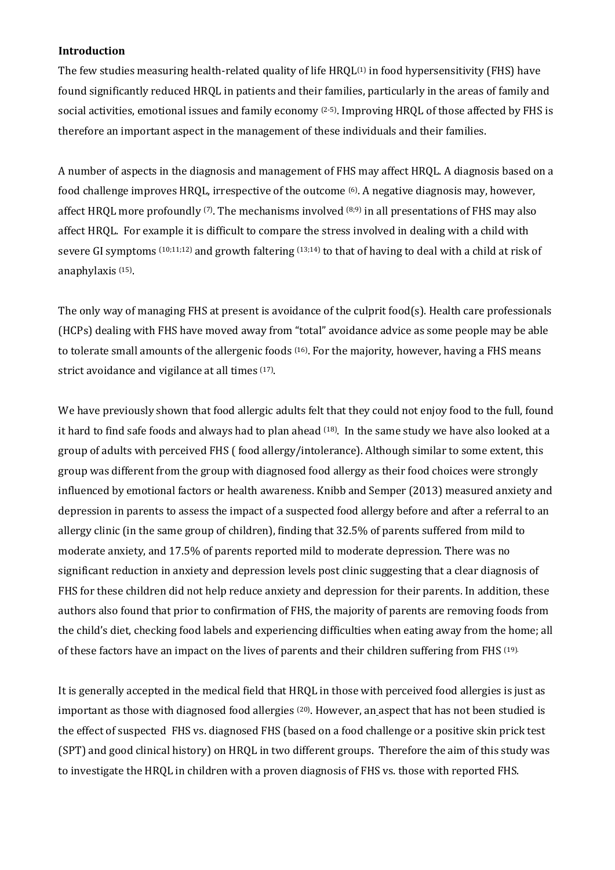# **Introduction**

The few studies measuring health-related quality of life HRQL<sup>(1)</sup> in food hypersensitivity (FHS) have found significantly reduced HRQL in patients and their families, particularly in the areas of family and social activities, emotional issues and family economy <sup>(2-5)</sup>. Improving HRQL of those affected by FHS is therefore an important aspect in the management of these individuals and their families.

A number of aspects in the diagnosis and management of FHS may affect HRQL. A diagnosis based on a food challenge improves HRQL, irrespective of the outcome <sup>(6)</sup>. A negative diagnosis may, however, affect HRQL more profoundly  $(7)$ . The mechanisms involved  $(8,9)$  in all presentations of FHS may also affect HRQL. For example it is difficult to compare the stress involved in dealing with a child with severe GI symptoms (10;11;12) and growth faltering (13;14) to that of having to deal with a child at risk of anaphylaxis (15) .

The only way of managing FHS at present is avoidance of the culprit food(s). Health care professionals (HCPs) dealing with FHS have moved away from "total" avoidance advice as some people may be able to tolerate small amounts of the allergenic foods (16). For the majority, however, having a FHS means strict avoidance and vigilance at all times <sup>(17)</sup>.

We have previously shown that food allergic adults felt that they could not enjoy food to the full, found it hard to find safe foods and always had to plan ahead <sup>(18)</sup>. In the same study we have also looked at a group of adults with perceived FHS ( food allergy/intolerance). Although similar to some extent, this group was different from the group with diagnosed food allergy as their food choices were strongly influenced by emotional factors or health awareness. Knibb and Semper (2013) measured anxiety and depression in parents to assess the impact of a suspected food allergy before and after a referral to an allergy clinic (in the same group of children), finding that 32.5% of parents suffered from mild to moderate anxiety, and 17.5% of parents reported mild to moderate depression. There was no significant reduction in anxiety and depression levels post clinic suggesting that a clear diagnosis of FHS for these children did not help reduce anxiety and depression for their parents. In addition, these authors also found that prior to confirmation of FHS, the majority of parents are removing foods from the child's diet, checking food labels and experiencing difficulties when eating away from the home; all of these factors have an impact on the lives of parents and their children suffering from FHS (19).

It is generally accepted in the medical field that HRQL in those with perceived food allergies is just as important as those with diagnosed food allergies <sup>(20)</sup>. However, an aspect that has not been studied is the effect of suspected FHS vs. diagnosed FHS (based on a food challenge or a positive skin prick test (SPT) and good clinical history) on HRQL in two different groups. Therefore the aim of this study was to investigate the HRQL in children with a proven diagnosis of FHS vs. those with reported FHS.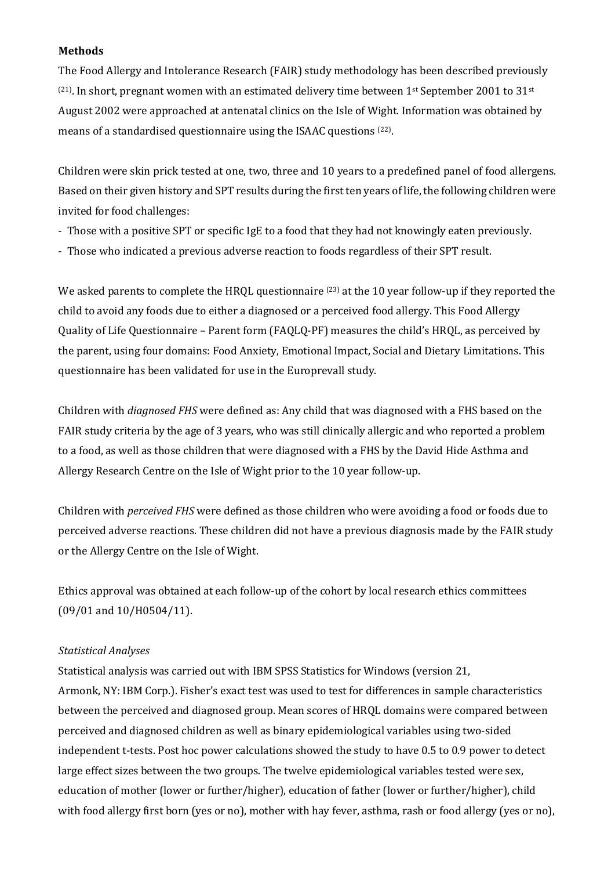## **Methods**

The Food Allergy and Intolerance Research (FAIR) study methodology has been described previously  $(21)$ . In short, pregnant women with an estimated delivery time between 1st September 2001 to 31st August 2002 were approached at antenatal clinics on the Isle of Wight. Information was obtained by means of a standardised questionnaire using the ISAAC questions <sup>(22)</sup>.

Children were skin prick tested at one, two, three and 10 years to a predefined panel of food allergens. Based on their given history and SPT results during the first ten years of life, the following children were invited for food challenges:

- Those with a positive SPT or specific IgE to a food that they had not knowingly eaten previously.
- Those who indicated a previous adverse reaction to foods regardless of their SPT result.

We asked parents to complete the HRQL questionnaire <sup>(23)</sup> at the 10 year follow-up if they reported the child to avoid any foods due to either a diagnosed or a perceived food allergy. This Food Allergy Quality of Life Questionnaire – Parent form (FAQLQ-PF) measures the child's HRQL, as perceived by the parent, using four domains: Food Anxiety, Emotional Impact, Social and Dietary Limitations. This questionnaire has been validated for use in the Europrevall study.

Children with *diagnosed FHS* were defined as: Any child that was diagnosed with a FHS based on the FAIR study criteria by the age of 3 years, who was still clinically allergic and who reported a problem to a food, as well as those children that were diagnosed with a FHS by the David Hide Asthma and Allergy Research Centre on the Isle of Wight prior to the 10 year follow-up.

Children with *perceived FHS* were defined as those children who were avoiding a food or foods due to perceived adverse reactions. These children did not have a previous diagnosis made by the FAIR study or the Allergy Centre on the Isle of Wight.

Ethics approval was obtained at each follow-up of the cohort by local research ethics committees (09/01 and 10/H0504/11).

### *Statistical Analyses*

Statistical analysis was carried out with IBM SPSS Statistics for Windows (version 21, Armonk, NY: IBM Corp.). Fisher's exact test was used to test for differences in sample characteristics between the perceived and diagnosed group. Mean scores of HRQL domains were compared between perceived and diagnosed children as well as binary epidemiological variables using two-sided independent t-tests. Post hoc power calculations showed the study to have 0.5 to 0.9 power to detect large effect sizes between the two groups. The twelve epidemiological variables tested were sex, education of mother (lower or further/higher), education of father (lower or further/higher), child with food allergy first born (yes or no), mother with hay fever, asthma, rash or food allergy (yes or no),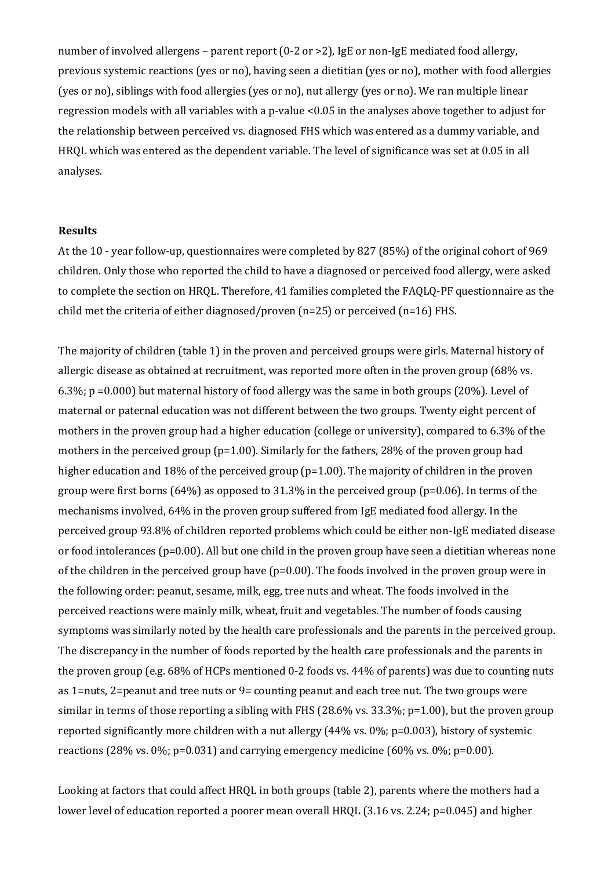number of involved allergens – parent report (0-2 or >2), IgE or non-IgE mediated food allergy, previous systemic reactions (yes or no), having seen a dietitian (yes or no), mother with food allergies (yes or no), siblings with food allergies (yes or no), nut allergy (yes or no). We ran multiple linear regression models with all variables with a p-value <0.05 in the analyses above together to adjust for the relationship between perceived vs. diagnosed FHS which was entered as a dummy variable, and HRQL which was entered as the dependent variable. The level of significance was set at 0.05 in all analyses.

#### **Results**

At the 10 - year follow-up, questionnaires were completed by 827 (85%) of the original cohort of 969 children. Only those who reported the child to have a diagnosed or perceived food allergy, were asked to complete the section on HRQL. Therefore, 41 families completed the FAQLQ-PF questionnaire as the child met the criteria of either diagnosed/proven (n=25) or perceived (n=16) FHS.

The majority of children (table 1) in the proven and perceived groups were girls. Maternal history of allergic disease as obtained at recruitment, was reported more often in the proven group (68% vs. 6.3%; p =0.000) but maternal history of food allergy was the same in both groups (20%). Level of maternal or paternal education was not different between the two groups. Twenty eight percent of mothers in the proven group had a higher education (college or university), compared to 6.3% of the mothers in the perceived group (p=1.00). Similarly for the fathers, 28% of the proven group had higher education and 18% of the perceived group (p=1.00). The majority of children in the proven group were first borns (64%) as opposed to 31.3% in the perceived group (p=0.06). In terms of the mechanisms involved, 64% in the proven group suffered from IgE mediated food allergy. In the perceived group 93.8% of children reported problems which could be either non-IgE mediated disease or food intolerances (p=0.00). All but one child in the proven group have seen a dietitian whereas none of the children in the perceived group have  $(p=0.00)$ . The foods involved in the proven group were in the following order: peanut, sesame, milk, egg, tree nuts and wheat. The foods involved in the perceived reactions were mainly milk, wheat, fruit and vegetables. The number of foods causing symptoms was similarly noted by the health care professionals and the parents in the perceived group. The discrepancy in the number of foods reported by the health care professionals and the parents in the proven group (e.g. 68% of HCPs mentioned 0-2 foods vs. 44% of parents) was due to counting nuts as 1=nuts, 2=peanut and tree nuts or 9= counting peanut and each tree nut. The two groups were similar in terms of those reporting a sibling with FHS (28.6% vs. 33.3%;  $p=1.00$ ), but the proven group reported significantly more children with a nut allergy (44% vs. 0%; p=0.003), history of systemic reactions (28% vs. 0%; p=0.031) and carrying emergency medicine (60% vs. 0%; p=0.00).

Looking at factors that could affect HRQL in both groups (table 2), parents where the mothers had a lower level of education reported a poorer mean overall HRQL (3.16 vs. 2.24; p=0.045) and higher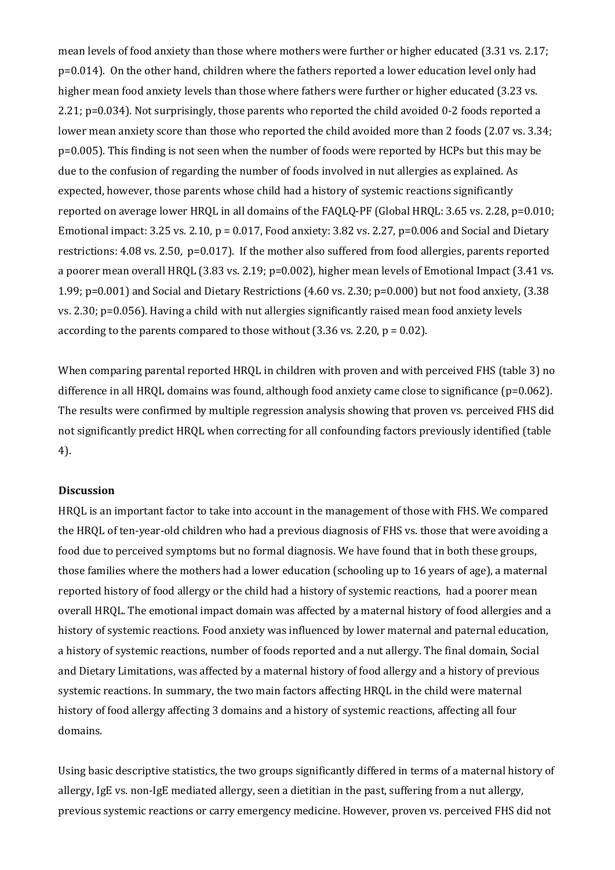mean levels of food anxiety than those where mothers were further or higher educated (3.31 vs. 2.17; p=0.014). On the other hand, children where the fathers reported a lower education level only had higher mean food anxiety levels than those where fathers were further or higher educated (3.23 vs. 2.21; p=0.034). Not surprisingly, those parents who reported the child avoided 0-2 foods reported a lower mean anxiety score than those who reported the child avoided more than 2 foods (2.07 vs. 3.34; p=0.005). This finding is not seen when the number of foods were reported by HCPs but this may be due to the confusion of regarding the number of foods involved in nut allergies as explained. As expected, however, those parents whose child had a history of systemic reactions significantly reported on average lower HRQL in all domains of the FAQLQ-PF (Global HRQL: 3.65 vs. 2.28, p=0.010; Emotional impact: 3.25 vs. 2.10,  $p = 0.017$ , Food anxiety: 3.82 vs. 2.27,  $p=0.006$  and Social and Dietary restrictions: 4.08 vs. 2.50, p=0.017). If the mother also suffered from food allergies, parents reported a poorer mean overall HRQL (3.83 vs. 2.19; p=0.002), higher mean levels of Emotional Impact (3.41 vs. 1.99; p=0.001) and Social and Dietary Restrictions (4.60 vs. 2.30; p=0.000) but not food anxiety, (3.38 vs. 2.30; p=0.056). Having a child with nut allergies significantly raised mean food anxiety levels according to the parents compared to those without (3.36 vs. 2.20, p = 0.02).

When comparing parental reported HRQL in children with proven and with perceived FHS (table 3) no difference in all HRQL domains was found, although food anxiety came close to significance (p=0.062). The results were confirmed by multiple regression analysis showing that proven vs. perceived FHS did not significantly predict HRQL when correcting for all confounding factors previously identified (table 4).

#### **Discussion**

HRQL is an important factor to take into account in the management of those with FHS. We compared the HRQL of ten-year-old children who had a previous diagnosis of FHS vs. those that were avoiding a food due to perceived symptoms but no formal diagnosis. We have found that in both these groups, those families where the mothers had a lower education (schooling up to 16 years of age), a maternal reported history of food allergy or the child had a history of systemic reactions, had a poorer mean overall HRQL. The emotional impact domain was affected by a maternal history of food allergies and a history of systemic reactions. Food anxiety was influenced by lower maternal and paternal education, a history of systemic reactions, number of foods reported and a nut allergy. The final domain, Social and Dietary Limitations, was affected by a maternal history of food allergy and a history of previous systemic reactions. In summary, the two main factors affecting HRQL in the child were maternal history of food allergy affecting 3 domains and a history of systemic reactions, affecting all four domains.

Using basic descriptive statistics, the two groups significantly differed in terms of a maternal history of allergy, IgE vs. non-IgE mediated allergy, seen a dietitian in the past, suffering from a nut allergy, previous systemic reactions or carry emergency medicine. However, proven vs. perceived FHS did not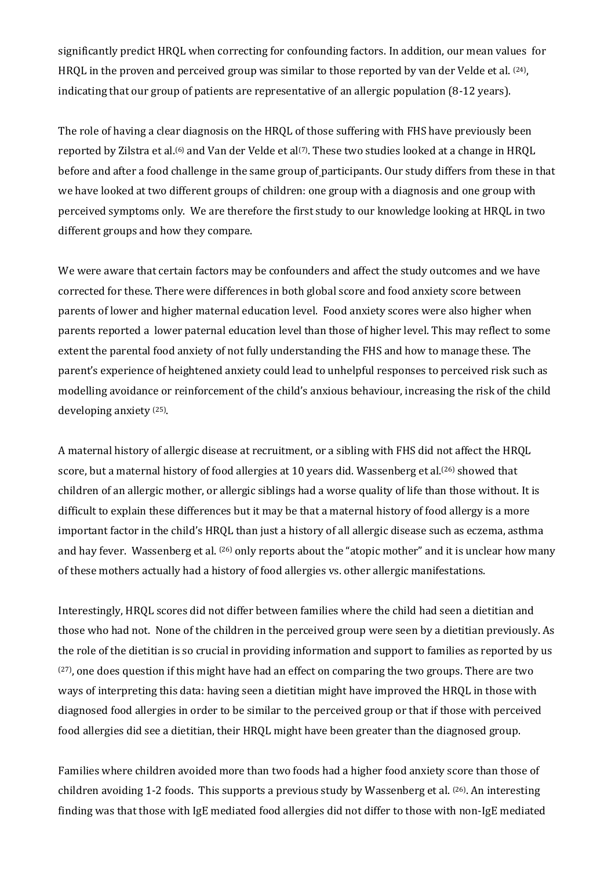significantly predict HRQL when correcting for confounding factors. In addition, our mean values for HRQL in the proven and perceived group was similar to those reported by van der Velde et al. <sup>(24)</sup>, indicating that our group of patients are representative of an allergic population (8-12 years).

The role of having a clear diagnosis on the HRQL of those suffering with FHS have previously been reported by Zilstra et al.<sup>(6)</sup> and Van der Velde et al<sup>(7)</sup>. These two studies looked at a change in HRQL before and after a food challenge in the same group of participants. Our study differs from these in that we have looked at two different groups of children: one group with a diagnosis and one group with perceived symptoms only. We are therefore the first study to our knowledge looking at HRQL in two different groups and how they compare.

We were aware that certain factors may be confounders and affect the study outcomes and we have corrected for these. There were differences in both global score and food anxiety score between parents of lower and higher maternal education level. Food anxiety scores were also higher when parents reported a lower paternal education level than those of higher level. This may reflect to some extent the parental food anxiety of not fully understanding the FHS and how to manage these. The parent's experience of heightened anxiety could lead to unhelpful responses to perceived risk such as modelling avoidance or reinforcement of the child's anxious behaviour, increasing the risk of the child developing anxiety (25) .

A maternal history of allergic disease at recruitment, or a sibling with FHS did not affect the HRQL score, but a maternal history of food allergies at 10 years did. Wassenberg et al.<sup>(26)</sup> showed that children of an allergic mother, or allergic siblings had a worse quality of life than those without. It is difficult to explain these differences but it may be that a maternal history of food allergy is a more important factor in the child's HRQL than just a history of all allergic disease such as eczema, asthma and hay fever. Wassenberg et al. <sup>(26)</sup> only reports about the "atopic mother" and it is unclear how many of these mothers actually had a history of food allergies vs. other allergic manifestations.

Interestingly, HRQL scores did not differ between families where the child had seen a dietitian and those who had not. None of the children in the perceived group were seen by a dietitian previously. As the role of the dietitian is so crucial in providing information and support to families as reported by us (27) , one does question if this might have had an effect on comparing the two groups. There are two ways of interpreting this data: having seen a dietitian might have improved the HRQL in those with diagnosed food allergies in order to be similar to the perceived group or that if those with perceived food allergies did see a dietitian, their HRQL might have been greater than the diagnosed group.

Families where children avoided more than two foods had a higher food anxiety score than those of children avoiding 1-2 foods. This supports a previous study by Wassenberg et al. (26) . An interesting finding was that those with IgE mediated food allergies did not differ to those with non-IgE mediated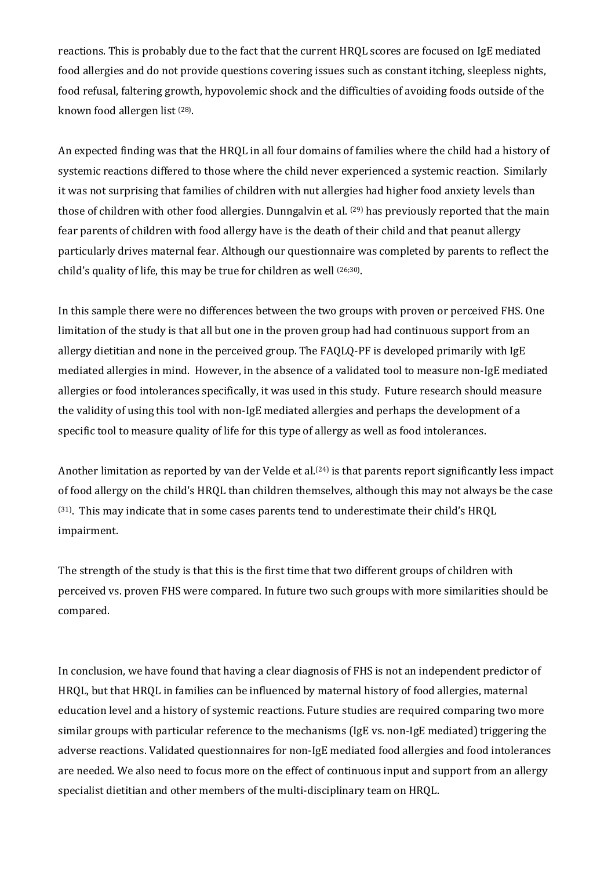reactions. This is probably due to the fact that the current HRQL scores are focused on IgE mediated food allergies and do not provide questions covering issues such as constant itching, sleepless nights, food refusal, faltering growth, hypovolemic shock and the difficulties of avoiding foods outside of the known food allergen list <sup>(28)</sup>.

An expected finding was that the HRQL in all four domains of families where the child had a history of systemic reactions differed to those where the child never experienced a systemic reaction. Similarly it was not surprising that families of children with nut allergies had higher food anxiety levels than those of children with other food allergies. Dunngalvin et al. <sup>(29)</sup> has previously reported that the main fear parents of children with food allergy have is the death of their child and that peanut allergy particularly drives maternal fear. Although our questionnaire was completed by parents to reflect the child's quality of life, this may be true for children as well (26;30) .

In this sample there were no differences between the two groups with proven or perceived FHS. One limitation of the study is that all but one in the proven group had had continuous support from an allergy dietitian and none in the perceived group. The FAQLQ-PF is developed primarily with IgE mediated allergies in mind. However, in the absence of a validated tool to measure non-IgE mediated allergies or food intolerances specifically, it was used in this study. Future research should measure the validity of using this tool with non-IgE mediated allergies and perhaps the development of a specific tool to measure quality of life for this type of allergy as well as food intolerances.

Another limitation as reported by van der Velde et al.<sup>(24)</sup> is that parents report significantly less impact of food allergy on the child's HRQL than children themselves, although this may not always be the case (31) . This may indicate that in some cases parents tend to underestimate their child's HRQL impairment.

The strength of the study is that this is the first time that two different groups of children with perceived vs. proven FHS were compared. In future two such groups with more similarities should be compared.

In conclusion, we have found that having a clear diagnosis of FHS is not an independent predictor of HRQL, but that HRQL in families can be influenced by maternal history of food allergies, maternal education level and a history of systemic reactions. Future studies are required comparing two more similar groups with particular reference to the mechanisms (IgE vs. non-IgE mediated) triggering the adverse reactions. Validated questionnaires for non-IgE mediated food allergies and food intolerances are needed. We also need to focus more on the effect of continuous input and support from an allergy specialist dietitian and other members of the multi-disciplinary team on HRQL.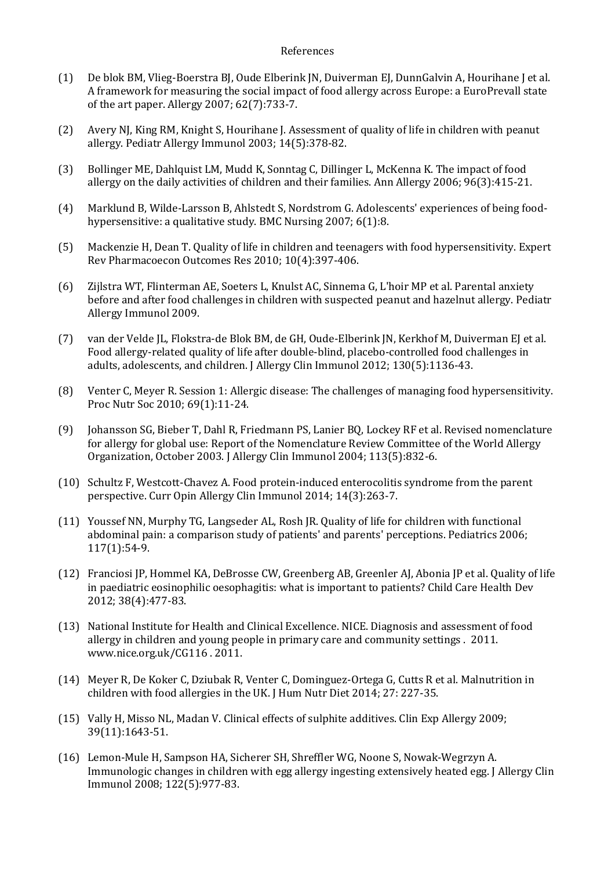#### References

- (1) De blok BM, Vlieg-Boerstra BJ, Oude Elberink JN, Duiverman EJ, DunnGalvin A, Hourihane J et al. A framework for measuring the social impact of food allergy across Europe: a EuroPrevall state of the art paper. Allergy 2007; 62(7):733-7.
- (2) Avery NJ, King RM, Knight S, Hourihane J. Assessment of quality of life in children with peanut allergy. Pediatr Allergy Immunol 2003; 14(5):378-82.
- (3) Bollinger ME, Dahlquist LM, Mudd K, Sonntag C, Dillinger L, McKenna K. The impact of food allergy on the daily activities of children and their families. Ann Allergy 2006; 96(3):415-21.
- (4) Marklund B, Wilde-Larsson B, Ahlstedt S, Nordstrom G. Adolescents' experiences of being foodhypersensitive: a qualitative study. BMC Nursing 2007; 6(1):8.
- (5) Mackenzie H, Dean T. Quality of life in children and teenagers with food hypersensitivity. Expert Rev Pharmacoecon Outcomes Res 2010; 10(4):397-406.
- (6) Zijlstra WT, Flinterman AE, Soeters L, Knulst AC, Sinnema G, L'hoir MP et al. Parental anxiety before and after food challenges in children with suspected peanut and hazelnut allergy. Pediatr Allergy Immunol 2009.
- (7) van der Velde JL, Flokstra-de Blok BM, de GH, Oude-Elberink JN, Kerkhof M, Duiverman EJ et al. Food allergy-related quality of life after double-blind, placebo-controlled food challenges in adults, adolescents, and children. J Allergy Clin Immunol 2012; 130(5):1136-43.
- (8) Venter C, Meyer R. Session 1: Allergic disease: The challenges of managing food hypersensitivity. Proc Nutr Soc 2010; 69(1):11-24.
- (9) Johansson SG, Bieber T, Dahl R, Friedmann PS, Lanier BQ, Lockey RF et al. Revised nomenclature for allergy for global use: Report of the Nomenclature Review Committee of the World Allergy Organization, October 2003. J Allergy Clin Immunol 2004; 113(5):832-6.
- (10) Schultz F, Westcott-Chavez A. Food protein-induced enterocolitis syndrome from the parent perspective. Curr Opin Allergy Clin Immunol 2014; 14(3):263-7.
- (11) Youssef NN, Murphy TG, Langseder AL, Rosh JR. Quality of life for children with functional abdominal pain: a comparison study of patients' and parents' perceptions. Pediatrics 2006; 117(1):54-9.
- (12) Franciosi JP, Hommel KA, DeBrosse CW, Greenberg AB, Greenler AJ, Abonia JP et al. Quality of life in paediatric eosinophilic oesophagitis: what is important to patients? Child Care Health Dev 2012; 38(4):477-83.
- (13) National Institute for Health and Clinical Excellence. NICE. Diagnosis and assessment of food allergy in children and young people in primary care and community settings . 2011. www.nice.org.uk/CG116 . 2011.
- (14) Meyer R, De Koker C, Dziubak R, Venter C, Dominguez-Ortega G, Cutts R et al. Malnutrition in children with food allergies in the UK. J Hum Nutr Diet 2014; 27: 227-35.
- (15) Vally H, Misso NL, Madan V. Clinical effects of sulphite additives. Clin Exp Allergy 2009; 39(11):1643-51.
- (16) Lemon-Mule H, Sampson HA, Sicherer SH, Shreffler WG, Noone S, Nowak-Wegrzyn A. Immunologic changes in children with egg allergy ingesting extensively heated egg. J Allergy Clin Immunol 2008; 122(5):977-83.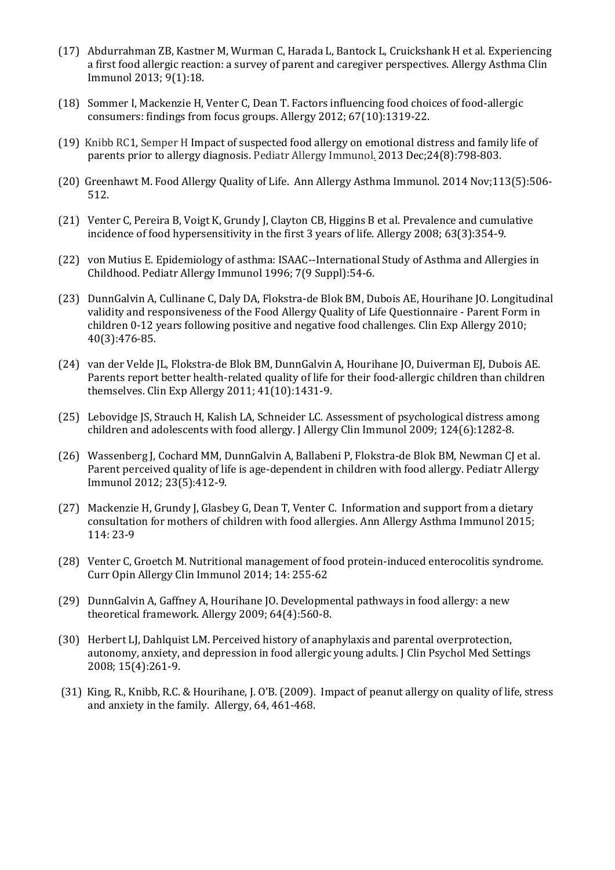- (17) Abdurrahman ZB, Kastner M, Wurman C, Harada L, Bantock L, Cruickshank H et al. Experiencing a first food allergic reaction: a survey of parent and caregiver perspectives. Allergy Asthma Clin Immunol 2013; 9(1):18.
- (18) Sommer I, Mackenzie H, Venter C, Dean T. Factors influencing food choices of food-allergic consumers: findings from focus groups. Allergy 2012; 67(10):1319-22.
- (19) [Knibb RC1](http://www.ncbi.nlm.nih.gov/pubmed?term=Knibb%20RC%5BAuthor%5D&cauthor=true&cauthor_uid=24329879)[, Semper H](http://www.ncbi.nlm.nih.gov/pubmed?term=Semper%20H%5BAuthor%5D&cauthor=true&cauthor_uid=24329879) Impact of suspected food allergy on emotional distress and family life of parents prior to allergy diagnosis. Pediatr Allergy Immunol. 2013 Dec;24(8):798-803.
- (20) Greenhawt M. Food Allergy Quality of Life. Ann Allergy Asthma Immunol. 2014 Nov;113(5):506- 512.
- (21) Venter C, Pereira B, Voigt K, Grundy J, Clayton CB, Higgins B et al. Prevalence and cumulative incidence of food hypersensitivity in the first 3 years of life. Allergy 2008; 63(3):354-9.
- (22) von Mutius E. Epidemiology of asthma: ISAAC--International Study of Asthma and Allergies in Childhood. Pediatr Allergy Immunol 1996; 7(9 Suppl):54-6.
- (23) DunnGalvin A, Cullinane C, Daly DA, Flokstra-de Blok BM, Dubois AE, Hourihane JO. Longitudinal validity and responsiveness of the Food Allergy Quality of Life Questionnaire - Parent Form in children 0-12 years following positive and negative food challenges. Clin Exp Allergy 2010; 40(3):476-85.
- (24) van der Velde JL, Flokstra-de Blok BM, DunnGalvin A, Hourihane JO, Duiverman EJ, Dubois AE. Parents report better health-related quality of life for their food-allergic children than children themselves. Clin Exp Allergy 2011; 41(10):1431-9.
- (25) Lebovidge JS, Strauch H, Kalish LA, Schneider LC. Assessment of psychological distress among children and adolescents with food allergy. J Allergy Clin Immunol 2009; 124(6):1282-8.
- (26) Wassenberg J, Cochard MM, DunnGalvin A, Ballabeni P, Flokstra-de Blok BM, Newman CJ et al. Parent perceived quality of life is age-dependent in children with food allergy. Pediatr Allergy Immunol 2012; 23(5):412-9.
- (27) Mackenzie H, Grundy J, Glasbey G, Dean T, Venter C. Information and support from a dietary consultation for mothers of children with food allergies. Ann Allergy Asthma Immunol 2015; 114: 23-9
- (28) Venter C, Groetch M. Nutritional management of food protein-induced enterocolitis syndrome. Curr Opin Allergy Clin Immunol 2014; 14: 255-62
- (29) DunnGalvin A, Gaffney A, Hourihane JO. Developmental pathways in food allergy: a new theoretical framework. Allergy 2009; 64(4):560-8.
- (30) Herbert LJ, Dahlquist LM. Perceived history of anaphylaxis and parental overprotection, autonomy, anxiety, and depression in food allergic young adults. J Clin Psychol Med Settings 2008; 15(4):261-9.
- (31) King, R., Knibb, R.C. & Hourihane, J. O'B. (2009). Impact of peanut allergy on quality of life, stress and anxiety in the family. Allergy, 64, 461-468.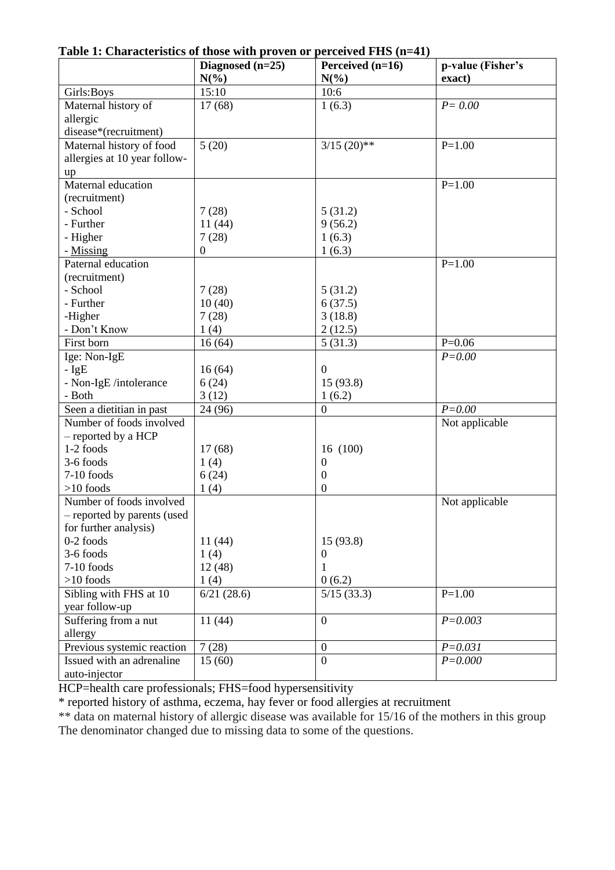**Table 1: Characteristics of those with proven or perceived FHS (n=41)**

| $N(\%)$<br>$N(\%)$<br>exact)<br>15:10<br>10:6<br>Girls: Boys<br>Maternal history of<br>17(68)<br>1(6.3)<br>$P = 0.00$<br>allergic<br>disease*(recruitment)<br>Maternal history of food<br>5(20)<br>$3/15$ (20)**<br>$P=1.00$<br>allergies at 10 year follow-<br>up<br>Maternal education<br>$P=1.00$<br>(recruitment)<br>- School<br>7(28)<br>5(31.2)<br>- Further<br>11(44)<br>9(56.2)<br>7(28)<br>- Higher<br>1(6.3)<br>- Missing<br>1(6.3)<br>$\boldsymbol{0}$<br>Paternal education<br>$P=1.00$<br>(recruitment)<br>- School<br>7(28)<br>5(31.2)<br>- Further<br>10(40)<br>6(37.5)<br>3(18.8)<br>-Higher<br>7(28)<br>- Don't Know<br>1(4)<br>2(12.5)<br>First born<br>$\overline{5}$ (31.3)<br>$P=0.06$<br>16(64)<br>Ige: Non-IgE<br>$P = 0.00$<br>$-IgE$<br>16(64)<br>$\overline{0}$<br>- Non-IgE /intolerance<br>6(24)<br>15 (93.8)<br>- Both<br>3(12)<br>1(6.2)<br>$P = 0.00$<br>Seen a dietitian in past<br>24 (96)<br>$\theta$<br>Number of foods involved<br>Not applicable<br>- reported by a HCP<br>1-2 foods<br>17(68)<br>16 (100)<br>3-6 foods<br>1(4)<br>$\overline{0}$<br>7-10 foods<br>6(24)<br>$\boldsymbol{0}$<br>$>10$ foods<br>1(4)<br>$\overline{0}$<br>Number of foods involved<br>Not applicable<br>- reported by parents (used<br>for further analysis)<br>$0-2$ foods<br>11(44)<br>15(93.8)<br>3-6 foods<br>1(4)<br>$\overline{0}$<br>$7-10$ foods<br>12(48)<br>1<br>$>10$ foods<br>0(6.2)<br>1(4)<br>Sibling with FHS at 10<br>6/21(28.6)<br>$P=1.00$<br>5/15(33.3)<br>year follow-up<br>Suffering from a nut<br>11(44)<br>$\boldsymbol{0}$<br>$P = 0.003$ | able 1. Characteristics of those with proven or perceived 1 HD $(n-1)$ | Diagnosed $(n=25)$ | Perceived $(n=16)$ | p-value (Fisher's |
|---------------------------------------------------------------------------------------------------------------------------------------------------------------------------------------------------------------------------------------------------------------------------------------------------------------------------------------------------------------------------------------------------------------------------------------------------------------------------------------------------------------------------------------------------------------------------------------------------------------------------------------------------------------------------------------------------------------------------------------------------------------------------------------------------------------------------------------------------------------------------------------------------------------------------------------------------------------------------------------------------------------------------------------------------------------------------------------------------------------------------------------------------------------------------------------------------------------------------------------------------------------------------------------------------------------------------------------------------------------------------------------------------------------------------------------------------------------------------------------------------------------------------------------------------------------------------------------|------------------------------------------------------------------------|--------------------|--------------------|-------------------|
|                                                                                                                                                                                                                                                                                                                                                                                                                                                                                                                                                                                                                                                                                                                                                                                                                                                                                                                                                                                                                                                                                                                                                                                                                                                                                                                                                                                                                                                                                                                                                                                       |                                                                        |                    |                    |                   |
|                                                                                                                                                                                                                                                                                                                                                                                                                                                                                                                                                                                                                                                                                                                                                                                                                                                                                                                                                                                                                                                                                                                                                                                                                                                                                                                                                                                                                                                                                                                                                                                       |                                                                        |                    |                    |                   |
|                                                                                                                                                                                                                                                                                                                                                                                                                                                                                                                                                                                                                                                                                                                                                                                                                                                                                                                                                                                                                                                                                                                                                                                                                                                                                                                                                                                                                                                                                                                                                                                       |                                                                        |                    |                    |                   |
|                                                                                                                                                                                                                                                                                                                                                                                                                                                                                                                                                                                                                                                                                                                                                                                                                                                                                                                                                                                                                                                                                                                                                                                                                                                                                                                                                                                                                                                                                                                                                                                       |                                                                        |                    |                    |                   |
|                                                                                                                                                                                                                                                                                                                                                                                                                                                                                                                                                                                                                                                                                                                                                                                                                                                                                                                                                                                                                                                                                                                                                                                                                                                                                                                                                                                                                                                                                                                                                                                       |                                                                        |                    |                    |                   |
|                                                                                                                                                                                                                                                                                                                                                                                                                                                                                                                                                                                                                                                                                                                                                                                                                                                                                                                                                                                                                                                                                                                                                                                                                                                                                                                                                                                                                                                                                                                                                                                       |                                                                        |                    |                    |                   |
|                                                                                                                                                                                                                                                                                                                                                                                                                                                                                                                                                                                                                                                                                                                                                                                                                                                                                                                                                                                                                                                                                                                                                                                                                                                                                                                                                                                                                                                                                                                                                                                       |                                                                        |                    |                    |                   |
|                                                                                                                                                                                                                                                                                                                                                                                                                                                                                                                                                                                                                                                                                                                                                                                                                                                                                                                                                                                                                                                                                                                                                                                                                                                                                                                                                                                                                                                                                                                                                                                       |                                                                        |                    |                    |                   |
|                                                                                                                                                                                                                                                                                                                                                                                                                                                                                                                                                                                                                                                                                                                                                                                                                                                                                                                                                                                                                                                                                                                                                                                                                                                                                                                                                                                                                                                                                                                                                                                       |                                                                        |                    |                    |                   |
|                                                                                                                                                                                                                                                                                                                                                                                                                                                                                                                                                                                                                                                                                                                                                                                                                                                                                                                                                                                                                                                                                                                                                                                                                                                                                                                                                                                                                                                                                                                                                                                       |                                                                        |                    |                    |                   |
|                                                                                                                                                                                                                                                                                                                                                                                                                                                                                                                                                                                                                                                                                                                                                                                                                                                                                                                                                                                                                                                                                                                                                                                                                                                                                                                                                                                                                                                                                                                                                                                       |                                                                        |                    |                    |                   |
|                                                                                                                                                                                                                                                                                                                                                                                                                                                                                                                                                                                                                                                                                                                                                                                                                                                                                                                                                                                                                                                                                                                                                                                                                                                                                                                                                                                                                                                                                                                                                                                       |                                                                        |                    |                    |                   |
|                                                                                                                                                                                                                                                                                                                                                                                                                                                                                                                                                                                                                                                                                                                                                                                                                                                                                                                                                                                                                                                                                                                                                                                                                                                                                                                                                                                                                                                                                                                                                                                       |                                                                        |                    |                    |                   |
|                                                                                                                                                                                                                                                                                                                                                                                                                                                                                                                                                                                                                                                                                                                                                                                                                                                                                                                                                                                                                                                                                                                                                                                                                                                                                                                                                                                                                                                                                                                                                                                       |                                                                        |                    |                    |                   |
|                                                                                                                                                                                                                                                                                                                                                                                                                                                                                                                                                                                                                                                                                                                                                                                                                                                                                                                                                                                                                                                                                                                                                                                                                                                                                                                                                                                                                                                                                                                                                                                       |                                                                        |                    |                    |                   |
|                                                                                                                                                                                                                                                                                                                                                                                                                                                                                                                                                                                                                                                                                                                                                                                                                                                                                                                                                                                                                                                                                                                                                                                                                                                                                                                                                                                                                                                                                                                                                                                       |                                                                        |                    |                    |                   |
|                                                                                                                                                                                                                                                                                                                                                                                                                                                                                                                                                                                                                                                                                                                                                                                                                                                                                                                                                                                                                                                                                                                                                                                                                                                                                                                                                                                                                                                                                                                                                                                       |                                                                        |                    |                    |                   |
|                                                                                                                                                                                                                                                                                                                                                                                                                                                                                                                                                                                                                                                                                                                                                                                                                                                                                                                                                                                                                                                                                                                                                                                                                                                                                                                                                                                                                                                                                                                                                                                       |                                                                        |                    |                    |                   |
|                                                                                                                                                                                                                                                                                                                                                                                                                                                                                                                                                                                                                                                                                                                                                                                                                                                                                                                                                                                                                                                                                                                                                                                                                                                                                                                                                                                                                                                                                                                                                                                       |                                                                        |                    |                    |                   |
|                                                                                                                                                                                                                                                                                                                                                                                                                                                                                                                                                                                                                                                                                                                                                                                                                                                                                                                                                                                                                                                                                                                                                                                                                                                                                                                                                                                                                                                                                                                                                                                       |                                                                        |                    |                    |                   |
|                                                                                                                                                                                                                                                                                                                                                                                                                                                                                                                                                                                                                                                                                                                                                                                                                                                                                                                                                                                                                                                                                                                                                                                                                                                                                                                                                                                                                                                                                                                                                                                       |                                                                        |                    |                    |                   |
|                                                                                                                                                                                                                                                                                                                                                                                                                                                                                                                                                                                                                                                                                                                                                                                                                                                                                                                                                                                                                                                                                                                                                                                                                                                                                                                                                                                                                                                                                                                                                                                       |                                                                        |                    |                    |                   |
|                                                                                                                                                                                                                                                                                                                                                                                                                                                                                                                                                                                                                                                                                                                                                                                                                                                                                                                                                                                                                                                                                                                                                                                                                                                                                                                                                                                                                                                                                                                                                                                       |                                                                        |                    |                    |                   |
|                                                                                                                                                                                                                                                                                                                                                                                                                                                                                                                                                                                                                                                                                                                                                                                                                                                                                                                                                                                                                                                                                                                                                                                                                                                                                                                                                                                                                                                                                                                                                                                       |                                                                        |                    |                    |                   |
|                                                                                                                                                                                                                                                                                                                                                                                                                                                                                                                                                                                                                                                                                                                                                                                                                                                                                                                                                                                                                                                                                                                                                                                                                                                                                                                                                                                                                                                                                                                                                                                       |                                                                        |                    |                    |                   |
|                                                                                                                                                                                                                                                                                                                                                                                                                                                                                                                                                                                                                                                                                                                                                                                                                                                                                                                                                                                                                                                                                                                                                                                                                                                                                                                                                                                                                                                                                                                                                                                       |                                                                        |                    |                    |                   |
|                                                                                                                                                                                                                                                                                                                                                                                                                                                                                                                                                                                                                                                                                                                                                                                                                                                                                                                                                                                                                                                                                                                                                                                                                                                                                                                                                                                                                                                                                                                                                                                       |                                                                        |                    |                    |                   |
|                                                                                                                                                                                                                                                                                                                                                                                                                                                                                                                                                                                                                                                                                                                                                                                                                                                                                                                                                                                                                                                                                                                                                                                                                                                                                                                                                                                                                                                                                                                                                                                       |                                                                        |                    |                    |                   |
|                                                                                                                                                                                                                                                                                                                                                                                                                                                                                                                                                                                                                                                                                                                                                                                                                                                                                                                                                                                                                                                                                                                                                                                                                                                                                                                                                                                                                                                                                                                                                                                       |                                                                        |                    |                    |                   |
|                                                                                                                                                                                                                                                                                                                                                                                                                                                                                                                                                                                                                                                                                                                                                                                                                                                                                                                                                                                                                                                                                                                                                                                                                                                                                                                                                                                                                                                                                                                                                                                       |                                                                        |                    |                    |                   |
|                                                                                                                                                                                                                                                                                                                                                                                                                                                                                                                                                                                                                                                                                                                                                                                                                                                                                                                                                                                                                                                                                                                                                                                                                                                                                                                                                                                                                                                                                                                                                                                       |                                                                        |                    |                    |                   |
|                                                                                                                                                                                                                                                                                                                                                                                                                                                                                                                                                                                                                                                                                                                                                                                                                                                                                                                                                                                                                                                                                                                                                                                                                                                                                                                                                                                                                                                                                                                                                                                       |                                                                        |                    |                    |                   |
|                                                                                                                                                                                                                                                                                                                                                                                                                                                                                                                                                                                                                                                                                                                                                                                                                                                                                                                                                                                                                                                                                                                                                                                                                                                                                                                                                                                                                                                                                                                                                                                       |                                                                        |                    |                    |                   |
|                                                                                                                                                                                                                                                                                                                                                                                                                                                                                                                                                                                                                                                                                                                                                                                                                                                                                                                                                                                                                                                                                                                                                                                                                                                                                                                                                                                                                                                                                                                                                                                       |                                                                        |                    |                    |                   |
|                                                                                                                                                                                                                                                                                                                                                                                                                                                                                                                                                                                                                                                                                                                                                                                                                                                                                                                                                                                                                                                                                                                                                                                                                                                                                                                                                                                                                                                                                                                                                                                       |                                                                        |                    |                    |                   |
|                                                                                                                                                                                                                                                                                                                                                                                                                                                                                                                                                                                                                                                                                                                                                                                                                                                                                                                                                                                                                                                                                                                                                                                                                                                                                                                                                                                                                                                                                                                                                                                       |                                                                        |                    |                    |                   |
|                                                                                                                                                                                                                                                                                                                                                                                                                                                                                                                                                                                                                                                                                                                                                                                                                                                                                                                                                                                                                                                                                                                                                                                                                                                                                                                                                                                                                                                                                                                                                                                       |                                                                        |                    |                    |                   |
|                                                                                                                                                                                                                                                                                                                                                                                                                                                                                                                                                                                                                                                                                                                                                                                                                                                                                                                                                                                                                                                                                                                                                                                                                                                                                                                                                                                                                                                                                                                                                                                       |                                                                        |                    |                    |                   |
|                                                                                                                                                                                                                                                                                                                                                                                                                                                                                                                                                                                                                                                                                                                                                                                                                                                                                                                                                                                                                                                                                                                                                                                                                                                                                                                                                                                                                                                                                                                                                                                       |                                                                        |                    |                    |                   |
|                                                                                                                                                                                                                                                                                                                                                                                                                                                                                                                                                                                                                                                                                                                                                                                                                                                                                                                                                                                                                                                                                                                                                                                                                                                                                                                                                                                                                                                                                                                                                                                       |                                                                        |                    |                    |                   |
|                                                                                                                                                                                                                                                                                                                                                                                                                                                                                                                                                                                                                                                                                                                                                                                                                                                                                                                                                                                                                                                                                                                                                                                                                                                                                                                                                                                                                                                                                                                                                                                       |                                                                        |                    |                    |                   |
|                                                                                                                                                                                                                                                                                                                                                                                                                                                                                                                                                                                                                                                                                                                                                                                                                                                                                                                                                                                                                                                                                                                                                                                                                                                                                                                                                                                                                                                                                                                                                                                       |                                                                        |                    |                    |                   |
|                                                                                                                                                                                                                                                                                                                                                                                                                                                                                                                                                                                                                                                                                                                                                                                                                                                                                                                                                                                                                                                                                                                                                                                                                                                                                                                                                                                                                                                                                                                                                                                       | allergy                                                                |                    |                    |                   |
| 7(28)<br>Previous systemic reaction<br>$\overline{0}$<br>$P = 0.031$                                                                                                                                                                                                                                                                                                                                                                                                                                                                                                                                                                                                                                                                                                                                                                                                                                                                                                                                                                                                                                                                                                                                                                                                                                                                                                                                                                                                                                                                                                                  |                                                                        |                    |                    |                   |
| Issued with an adrenaline<br>15(60)<br>$\overline{0}$<br>$P = 0.000$                                                                                                                                                                                                                                                                                                                                                                                                                                                                                                                                                                                                                                                                                                                                                                                                                                                                                                                                                                                                                                                                                                                                                                                                                                                                                                                                                                                                                                                                                                                  |                                                                        |                    |                    |                   |
| auto-injector                                                                                                                                                                                                                                                                                                                                                                                                                                                                                                                                                                                                                                                                                                                                                                                                                                                                                                                                                                                                                                                                                                                                                                                                                                                                                                                                                                                                                                                                                                                                                                         |                                                                        |                    |                    |                   |

HCP=health care professionals; FHS=food hypersensitivity

\* reported history of asthma, eczema, hay fever or food allergies at recruitment

\*\* data on maternal history of allergic disease was available for 15/16 of the mothers in this group The denominator changed due to missing data to some of the questions.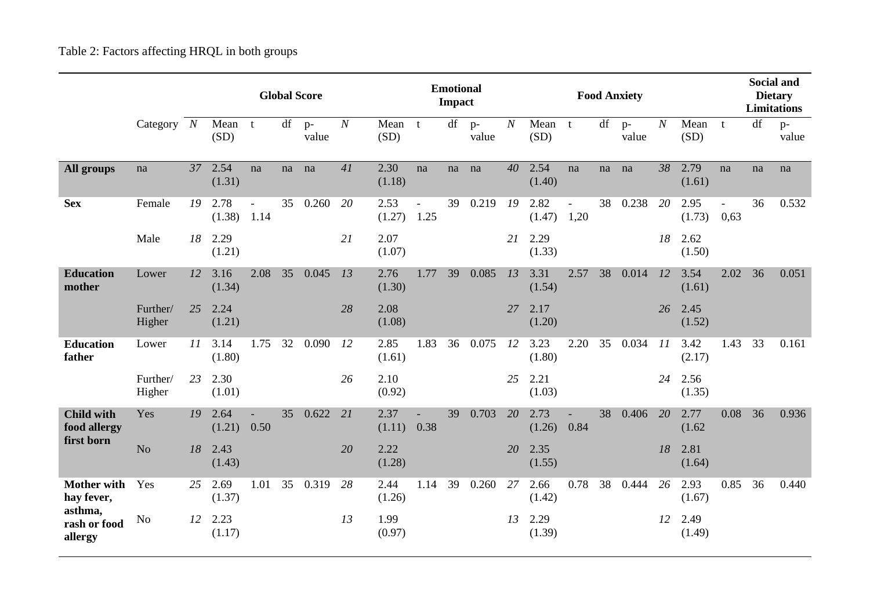Table 2: Factors affecting HRQL in both groups

|                                                 |                    | <b>Global Score</b> |                |      |    |               |                  | <b>Emotional</b><br><b>Impact</b> |      |    |               |                  | <b>Food Anxiety</b> |                |    |               |                  |                |                      | <b>Social and</b><br><b>Dietary</b><br><b>Limitations</b> |               |  |
|-------------------------------------------------|--------------------|---------------------|----------------|------|----|---------------|------------------|-----------------------------------|------|----|---------------|------------------|---------------------|----------------|----|---------------|------------------|----------------|----------------------|-----------------------------------------------------------|---------------|--|
|                                                 | Category $N$       |                     | Mean<br>(SD)   | t    | df | $p-$<br>value | $\boldsymbol{N}$ | Mean t<br>(SD)                    |      | df | $p-$<br>value | $\boldsymbol{N}$ | Mean<br>(SD)        | $-t$           | df | $p-$<br>value | $\boldsymbol{N}$ | Mean<br>(SD)   | t                    | df                                                        | $p-$<br>value |  |
| All groups                                      | na                 | 37                  | 2.54<br>(1.31) | na   | na | na            | 41               | 2.30<br>(1.18)                    | na   | na | na            | $40^{\circ}$     | 2.54<br>(1.40)      | na             | na | na            | 38               | 2.79<br>(1.61) | na                   | na                                                        | na            |  |
| <b>Sex</b>                                      | Female             | 19                  | 2.78<br>(1.38) | 1.14 | 35 | 0.260         | 20               | 2.53<br>(1.27)                    | 1.25 | 39 | 0.219         | 19               | 2.82<br>(1.47)      | $\sim$<br>1,20 | 38 | 0.238         | 20               | 2.95<br>(1.73) | $\mathbb{L}$<br>0,63 | 36                                                        | 0.532         |  |
|                                                 | Male               | 18                  | 2.29<br>(1.21) |      |    |               | 21               | 2.07<br>(1.07)                    |      |    |               | 21               | 2.29<br>(1.33)      |                |    |               | 18               | 2.62<br>(1.50) |                      |                                                           |               |  |
| <b>Education</b><br>mother                      | Lower              | 12                  | 3.16<br>(1.34) | 2.08 | 35 | 0.045         | 13               | 2.76<br>(1.30)                    | 1.77 | 39 | 0.085         | 13               | 3.31<br>(1.54)      | 2.57           | 38 | 0.014         | 12               | 3.54<br>(1.61) | 2.02                 | 36                                                        | 0.051         |  |
|                                                 | Further/<br>Higher | 25                  | 2.24<br>(1.21) |      |    |               | 28               | 2.08<br>(1.08)                    |      |    |               | 27               | 2.17<br>(1.20)      |                |    |               | 26               | 2.45<br>(1.52) |                      |                                                           |               |  |
| <b>Education</b><br>father                      | Lower              | 11                  | 3.14<br>(1.80) | 1.75 | 32 | 0.090         | 12               | 2.85<br>(1.61)                    | 1.83 | 36 | 0.075         | 12               | 3.23<br>(1.80)      | 2.20           | 35 | 0.034         | 11               | 3.42<br>(2.17) | 1.43                 | 33                                                        | 0.161         |  |
|                                                 | Further/<br>Higher | 23                  | 2.30<br>(1.01) |      |    |               | 26               | 2.10<br>(0.92)                    |      |    |               | 25               | 2.21<br>(1.03)      |                |    |               | 24               | 2.56<br>(1.35) |                      |                                                           |               |  |
| <b>Child with</b><br>food allergy<br>first born | Yes                | 19                  | 2.64<br>(1.21) | 0.50 | 35 | 0.622         | 21               | 2.37<br>(1.11)                    | 0.38 | 39 | 0.703         | 20               | 2.73<br>(1.26)      | 0.84           | 38 | 0.406         | 20               | 2.77<br>(1.62) | 0.08                 | 36                                                        | 0.936         |  |
|                                                 | No                 | 18                  | 2.43<br>(1.43) |      |    |               | 20               | 2.22<br>(1.28)                    |      |    |               | 20               | 2.35<br>(1.55)      |                |    |               | 18               | 2.81<br>(1.64) |                      |                                                           |               |  |
| <b>Mother with</b><br>hay fever,<br>asthma,     | Yes                | 25                  | 2.69<br>(1.37) | 1.01 | 35 | 0.319         | 28               | 2.44<br>(1.26)                    | 1.14 | 39 | 0.260         | 27               | 2.66<br>(1.42)      | 0.78           | 38 | 0.444         | 26               | 2.93<br>(1.67) | 0.85                 | 36                                                        | 0.440         |  |
| rash or food<br>allergy                         | N <sub>o</sub>     | 12                  | 2.23<br>(1.17) |      |    |               | 13               | 1.99<br>(0.97)                    |      |    |               | 13               | 2.29<br>(1.39)      |                |    |               | 12               | 2.49<br>(1.49) |                      |                                                           |               |  |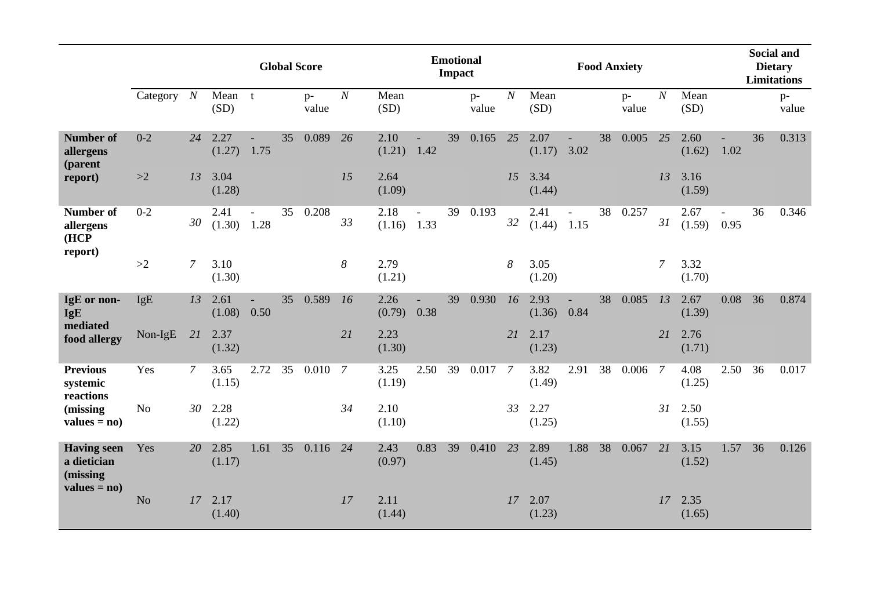|                                                 |                |                | <b>Global Score</b> |                                  |    |               |                  | <b>Emotional</b><br><b>Impact</b> |                |    |               |                  | <b>Food Anxiety</b> |                |    |               |                  |                | <b>Social and</b><br><b>Dietary</b><br><b>Limitations</b> |    |               |
|-------------------------------------------------|----------------|----------------|---------------------|----------------------------------|----|---------------|------------------|-----------------------------------|----------------|----|---------------|------------------|---------------------|----------------|----|---------------|------------------|----------------|-----------------------------------------------------------|----|---------------|
|                                                 | Category $N$   |                | Mean<br>(SD)        | $\mathbf{t}$                     |    | $p-$<br>value | $\boldsymbol{N}$ | Mean<br>(SD)                      |                |    | $p-$<br>value | $\boldsymbol{N}$ | Mean<br>(SD)        |                |    | $p-$<br>value | $\boldsymbol{N}$ | Mean<br>(SD)   |                                                           |    | $p-$<br>value |
| <b>Number of</b><br>allergens<br>(parent        | $0 - 2$        | 24             | 2.27<br>(1.27)      | 1.75                             | 35 | 0.089         | 26               | 2.10<br>(1.21)                    | 1.42           | 39 | 0.165         | 25               | 2.07<br>(1.17)      | 3.02           | 38 | 0.005         | 25               | 2.60<br>(1.62) | 1.02                                                      | 36 | 0.313         |
| report)                                         | >2             | 13             | 3.04<br>(1.28)      |                                  |    |               | 15               | 2.64<br>(1.09)                    |                |    |               | 15               | 3.34<br>(1.44)      |                |    |               | 13               | 3.16<br>(1.59) |                                                           |    |               |
| <b>Number of</b><br>allergens<br>HCP<br>report) | $0 - 2$        | 30             | 2.41<br>(1.30)      | $\overline{\phantom{a}}$<br>1.28 | 35 | 0.208         | 33               | 2.18<br>(1.16)                    | $\sim$<br>1.33 | 39 | 0.193         | 32               | 2.41<br>(1.44)      | $\sim$<br>1.15 | 38 | 0.257         | 31               | 2.67<br>(1.59) | $\overline{\phantom{a}}$<br>0.95                          | 36 | 0.346         |
|                                                 | >2             | $\overline{7}$ | 3.10<br>(1.30)      |                                  |    |               | 8                | 2.79<br>(1.21)                    |                |    |               | 8                | 3.05<br>(1.20)      |                |    |               | $\overline{7}$   | 3.32<br>(1.70) |                                                           |    |               |
| IgE or non-<br><b>IgE</b><br>mediated           | IgE            | 13             | 2.61<br>(1.08)      | 0.50                             | 35 | 0.589         | 16               | 2.26<br>(0.79)                    | 0.38           | 39 | 0.930         | 16               | 2.93<br>(1.36)      | 0.84           | 38 | 0.085         | 13               | 2.67<br>(1.39) | 0.08                                                      | 36 | 0.874         |
| food allergy                                    | Non-IgE        | 21             | 2.37<br>(1.32)      |                                  |    |               | 21               | 2.23<br>(1.30)                    |                |    |               | 21               | 2.17<br>(1.23)      |                |    |               | 21               | 2.76<br>(1.71) |                                                           |    |               |
| <b>Previous</b><br>systemic<br>reactions        | Yes            | 7              | 3.65<br>(1.15)      | 2.72                             | 35 | 0.010         | 7                | 3.25<br>(1.19)                    | 2.50           | 39 | 0.017         | 7                | 3.82<br>(1.49)      | 2.91           | 38 | 0.006         | -7               | 4.08<br>(1.25) | 2.50                                                      | 36 | 0.017         |
| (missing)<br>$values = no)$                     | N <sub>o</sub> | 30             | 2.28<br>(1.22)      |                                  |    |               | 34               | 2.10<br>(1.10)                    |                |    |               | 33               | 2.27<br>(1.25)      |                |    |               | 31               | 2.50<br>(1.55) |                                                           |    |               |
| <b>Having seen</b><br>a dietician<br>(missing   | Yes            | 20             | 2.85<br>(1.17)      | 1.61                             | 35 | 0.116         | 24               | 2.43<br>(0.97)                    | 0.83           | 39 | 0.410         | 23               | 2.89<br>(1.45)      | 1.88           | 38 | 0.067         | 21               | 3.15<br>(1.52) | 1.57                                                      | 36 | 0.126         |
| $values = no)$                                  | N <sub>o</sub> | 17             | 2.17<br>(1.40)      |                                  |    |               | 17               | 2.11<br>(1.44)                    |                |    |               | 17               | 2.07<br>(1.23)      |                |    |               | 17               | 2.35<br>(1.65) |                                                           |    |               |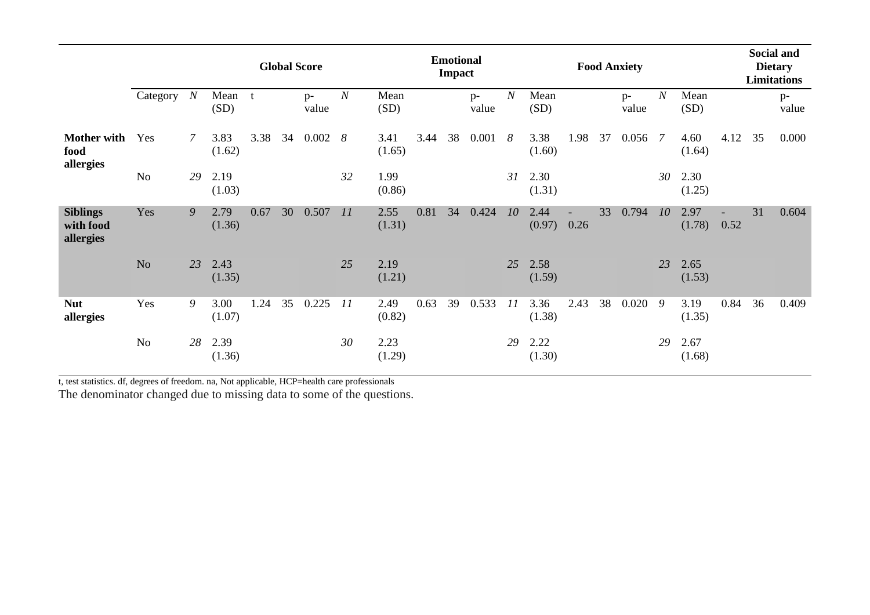|                                           |                |                  | <b>Global Score</b> |      |    |               |                  |                | <b>Emotional</b><br><b>Impact</b> |    |               |                  |                | <b>Food Anxiety</b> |    |               |                  |                |      | Social and<br><b>Dietary</b><br><b>Limitations</b> |             |
|-------------------------------------------|----------------|------------------|---------------------|------|----|---------------|------------------|----------------|-----------------------------------|----|---------------|------------------|----------------|---------------------|----|---------------|------------------|----------------|------|----------------------------------------------------|-------------|
|                                           | Category       | $\boldsymbol{N}$ | Mean<br>(SD)        | t    |    | $p-$<br>value | $\boldsymbol{N}$ | Mean<br>(SD)   |                                   |    | $p-$<br>value | $\boldsymbol{N}$ | Mean<br>(SD)   |                     |    | $p-$<br>value | $\boldsymbol{N}$ | Mean<br>(SD)   |      |                                                    | p-<br>value |
| <b>Mother with</b><br>food<br>allergies   | Yes            | $\mathcal{I}$    | 3.83<br>(1.62)      | 3.38 | 34 | 0.002         | 8                | 3.41<br>(1.65) | 3.44                              | 38 | 0.001         | 8                | 3.38<br>(1.60) | 1.98                | 37 | 0.056 7       |                  | 4.60<br>(1.64) | 4.12 | 35                                                 | 0.000       |
|                                           | N <sub>o</sub> | 29               | 2.19<br>(1.03)      |      |    |               | 32               | 1.99<br>(0.86) |                                   |    |               | 31               | 2.30<br>(1.31) |                     |    |               | 30               | 2.30<br>(1.25) |      |                                                    |             |
| <b>Siblings</b><br>with food<br>allergies | Yes            | 9                | 2.79<br>(1.36)      | 0.67 | 30 | 0.507         | 11               | 2.55<br>(1.31) | 0.81                              | 34 | 0.424         | 10               | 2.44<br>(0.97) | 0.26                | 33 | 0.794         | 10               | 2.97<br>(1.78) | 0.52 | 31                                                 | 0.604       |
|                                           | N <sub>o</sub> | 23               | 2.43<br>(1.35)      |      |    |               | 25               | 2.19<br>(1.21) |                                   |    |               | 25               | 2.58<br>(1.59) |                     |    |               | 23               | 2.65<br>(1.53) |      |                                                    |             |
| <b>Nut</b><br>allergies                   | Yes            | 9                | 3.00<br>(1.07)      | 1.24 | 35 | 0.225         | 11               | 2.49<br>(0.82) | 0.63                              | 39 | 0.533         | 11               | 3.36<br>(1.38) | 2.43                | 38 | 0.020         | -9               | 3.19<br>(1.35) | 0.84 | 36                                                 | 0.409       |
|                                           | N <sub>o</sub> | 28               | 2.39<br>(1.36)      |      |    |               | 30               | 2.23<br>(1.29) |                                   |    |               | 29               | 2.22<br>(1.30) |                     |    |               | 29               | 2.67<br>(1.68) |      |                                                    |             |

t, test statistics. df, degrees of freedom. na, Not applicable, HCP=health care professionals

The denominator changed due to missing data to some of the questions.